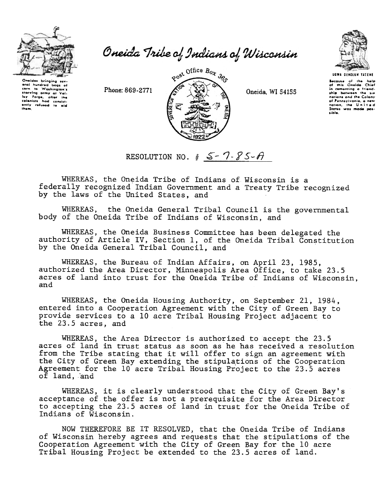

Oneida Tribe of Indians of Wisconsin



Phone: 869-2771



Oneida, WI 54155



**UGWA DENOLUN TATENE** Because of the help<br>of this Oneida Chief<br>in comenting a friend-<br>ship between the sux<br>notions and the Colony of Pennsylvania, a new<br>nation, the United<br>States was made possible.

RESOLUTION NO.  $\oint$   $S - 7 - 85 - A$ 

WHEREAS, the Oneida Tribe of Indians of Wisconsin is a federally recognized Indian Government and a Treaty Tribe recognized by the laws of the United States, and

WHEREAS, the Oneida General Tribal Council is the governmental body of the Oneida Tribe of Indians of Wisconsin, and

WHEREAS, the Oneida Business Committee has been delegated the authority of Article IV, Section 1, of the Oneida Tribal Constitution by the Oneida General Tribal Council, and

WHEREAS, the Bureau of Indian Affairs, on April 23, 1985, authorized the Area Director, Minneapolis Area Office, to take 23.5 acres of land into trust for the Oneida Tribe of Indians of Wisconsin, and

WHEREAS, the Oneida Housing Authority, on September 21, 1984, entered into a Cooperation Agreement with the City of Green Bay to provide services to a 10 acre Tribal Housing Project adjacent to the 23.5 acres, and

WHEREAS, the Area Director is authorized to accept the 23.5 acres of land in trust status as soon as he has received a resolution from the Tribe stating that it will offer to sign an agreement with the City of Green Bay extending the stipulations of the Cooperation Agreement for the 10 acre Tribal Housing Project to the 23.5 acres of land, and

WHEREAS, it is clearly understood that the City of Green Bay's acceptance of the offer is not a prerequisite for the Area Director to accepting the 23.5 acres of land in trust for the Oneida Tribe of Indians of Wisconsin.

NOW THEREFORE BE IT RESOLVED, that the Oneida Tribe of Indians of Wisconsin hereby agrees and requests that the stipulations of the Cooperation Agreement with the City of Green Bay for the 10 acre Tribal Housing Project be extended to the 23.5 acres of land.